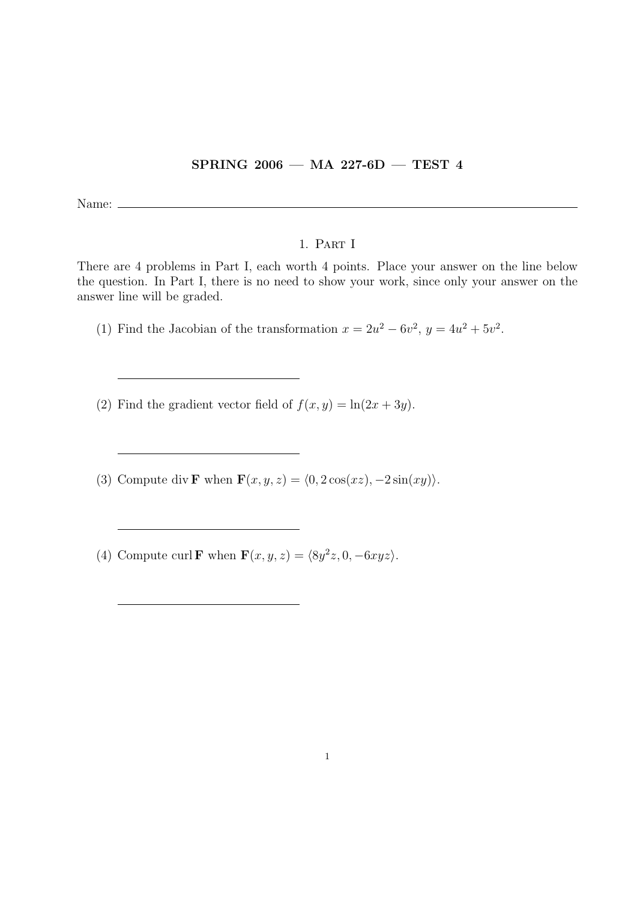## SPRING 2006 — MA 227-6D — TEST 4

Name:  $\equiv$ 

## 1. Part I

There are 4 problems in Part I, each worth 4 points. Place your answer on the line below the question. In Part I, there is no need to show your work, since only your answer on the answer line will be graded.

(1) Find the Jacobian of the transformation  $x = 2u^2 - 6v^2$ ,  $y = 4u^2 + 5v^2$ .

(2) Find the gradient vector field of  $f(x, y) = \ln(2x + 3y)$ .

- (3) Compute div **F** when  $\mathbf{F}(x, y, z) = \langle 0, 2\cos(xz), -2\sin(xy)\rangle$ .
- (4) Compute curl **F** when  $\mathbf{F}(x, y, z) = \langle 8y^2z, 0, -6xyz \rangle$ .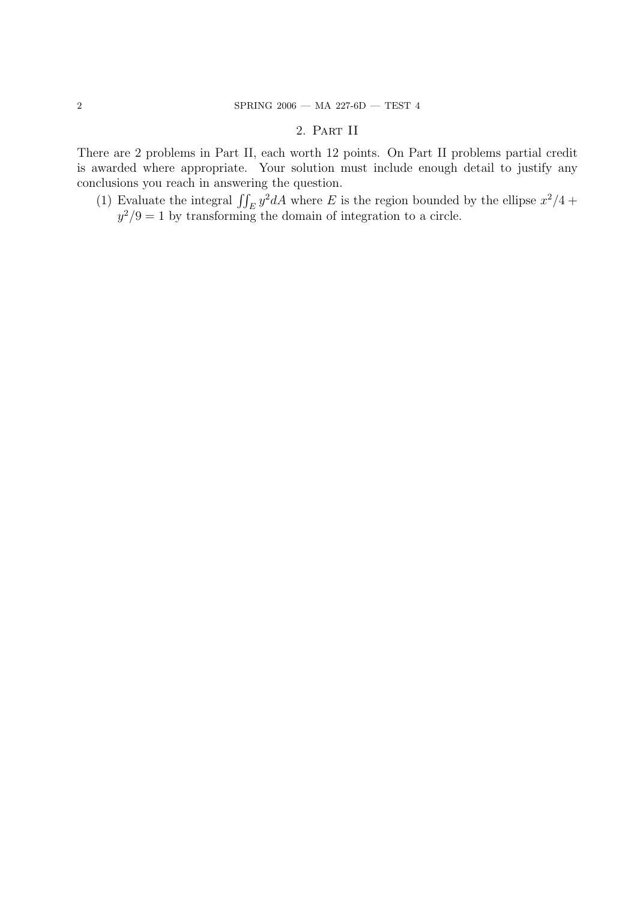## 2. Part II

There are 2 problems in Part II, each worth 12 points. On Part II problems partial credit is awarded where appropriate. Your solution must include enough detail to justify any conclusions you reach in answering the question.

(1) Evaluate the integral  $\iint_E y^2 dA$  where E is the region bounded by the ellipse  $x^2/4$  +  $y^2/9 = 1$  by transforming the domain of integration to a circle.